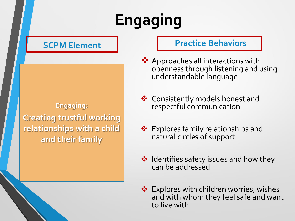# **Engaging**

### **SCPM Element**

**Engaging: Creating trustful working relationships with a child and their family**

- ◆ Approaches all interactions with openness through listening and using understandable language
- ◆ Consistently models honest and respectful communication
- ◆ Explores family relationships and natural circles of support
- **↓ Identifies safety issues and how they** can be addressed
- **Explores with children worries, wishes** and with whom they feel safe and want to live with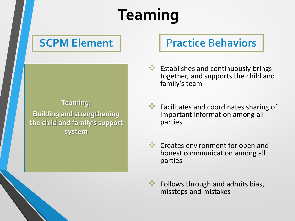# **Teaming**

## **SCPM Element**

#### **Teaming: Building and strengthening the child and family's support system**

## P**ractice** B**ehaviors**

 Establishes and continuously brings together, and supports the child and family's team

 Facilitates and coordinates sharing of important information among all parties

 Creates environment for open and honest communication among all parties

 Follows through and admits bias, missteps and mistakes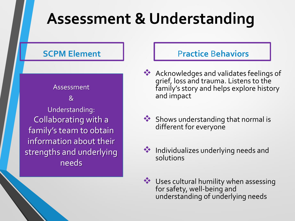## **Assessment & Understanding**

### **SCPM Element**

### Assessment & Understanding: Collaborating with a family's team to obtain information about their strengths and underlying needs

- \*\* Acknowledges and validates feelings of grief, loss and trauma. Listens to the family's story and helps explore history and impact
- Shows understanding that normal is different for everyone
- **\*** Individualizes underlying needs and solutions
- ◆ Uses cultural humility when assessing for safety, well-being and understanding of underlying needs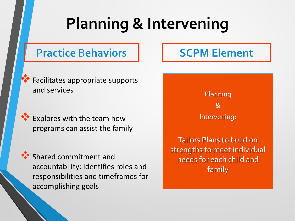## **Planning & Intervening**

## P**ractice** B**ehaviors**

 Facilitates appropriate supports and services

**Explores with the team how** programs can assist the family

 Shared commitment and accountability: identifies roles and responsibilities and timeframes for accomplishing goals

## **SCPM Element**



Tailors Plans to build on strengths to meet individual needs for each child and family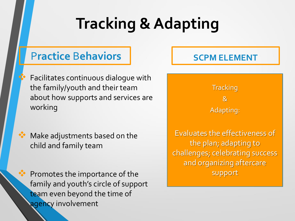# **Tracking &Adapting**

- Facilitates continuous dialogue with the family/youth and their team about how supports and services are working
- **W** Make adjustments based on the child and family team
- **Promotes the importance of the** family and youth's circle of support team even beyond the time of agency involvement

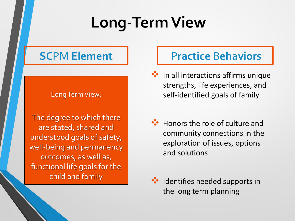## **Long-Term View**

## **SC**PM **Element**

#### Long Term View:

The degree to which there are stated, shared and understood goals of safety, well-being and permanency outcomes, as well as, functional life goals for the child and family

- **<sup>◆</sup>** In all interactions affirms unique strengths, life experiences, and self-identified goals of family
- $\cdot \cdot$  Honors the role of culture and community connections in the exploration of issues, options and solutions
- $\cdot \cdot$  Identifies needed supports in the long term planning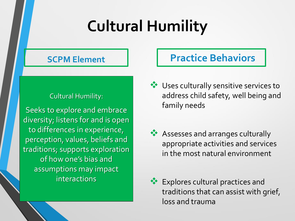# **Cultural Humility**

### **SCPM Element**

#### Cultural Humility:

Seeks to explore and embrace diversity; listens for and is open to differences in experience, perception, values, beliefs and traditions; supports exploration of how one's bias and assumptions may impact interactions

- ◆ Uses culturally sensitive services to address child safety, well being and family needs
- \*\* Assesses and arranges culturally appropriate activities and services in the most natural environment
- **Explores cultural practices and** traditions that can assist with grief, loss and trauma